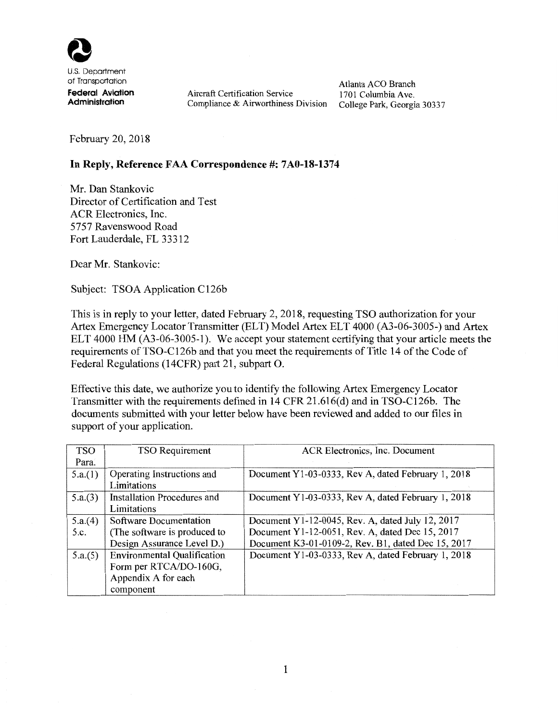

U.S. Department of Transportation **Federal Aviation** 

**Administration** 

Aircraft Certification Service Compliance & Airworthiness Division

Atlanta ACO Branch 1701 Columbia Ave. College Park, Georgia 30337

February 20, 2018

## **In Reply, Reference FAA Correspondence#: 7A0-18-1374**

Mr. Dan Stankovic Director of Certification and Test ACR Electronics, Inc. 5757 Ravenswood Road Fort Lauderdale, FL 33312

Dear Mr. Stankovic:

Subject: TSOA Application C126b

This is in reply to your letter, dated February 2, 2018, requesting TSO authorization for your Artex Emergency Locator Transmitter (ELT) Model Artex ELT 4000 (A3-06-3005-) and Artex ELT 4000 HM (A3-06-3005-1). We accept your statement certifying that your article meets the requirements of TSO-C126b and that you meet the requirements of Title 14 of the Code of Federal Regulations (14CFR) part 21, subpart 0.

Effective this date, we authorize you to identify the following Artex Emergency Locator Transmitter with the requirements defined in 14 CFR 21.616( d) and in TSO-C 126b. The documents submitted with your letter below have been reviewed and added to our files in support of your application.

| <b>TSO</b> | TSO Requirement                    | ACR Electronics, Inc. Document                     |
|------------|------------------------------------|----------------------------------------------------|
| Para.      |                                    |                                                    |
| 5.a.(1)    | Operating Instructions and         | Document Y1-03-0333, Rev A, dated February 1, 2018 |
|            | Limitations                        |                                                    |
| 5.a.(3)    | <b>Installation Procedures and</b> | Document Y1-03-0333, Rev A, dated February 1, 2018 |
|            | Limitations                        |                                                    |
| 5.a.(4)    | Software Documentation             | Document Y1-12-0045, Rev. A, dated July 12, 2017   |
| 5.c.       | (The software is produced to       | Document Y1-12-0051, Rev. A, dated Dec 15, 2017    |
|            | Design Assurance Level D.)         | Document K3-01-0109-2, Rev. B1, dated Dec 15, 2017 |
| 5.a.(5)    | <b>Environmental Qualification</b> | Document Y1-03-0333, Rev A, dated February 1, 2018 |
|            | Form per RTCA/DO-160G,             |                                                    |
|            | Appendix A for each                |                                                    |
|            | component                          |                                                    |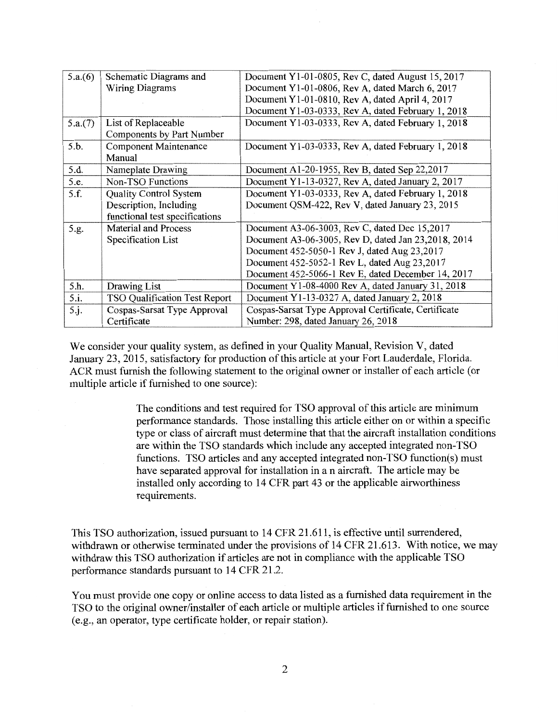| 5.a.(6)       | Schematic Diagrams and         | Document Y1-01-0805, Rev C, dated August 15, 2017    |
|---------------|--------------------------------|------------------------------------------------------|
|               | <b>Wiring Diagrams</b>         | Document Y1-01-0806, Rev A, dated March 6, 2017      |
|               |                                | Document Y1-01-0810, Rev A, dated April 4, 2017      |
|               |                                | Document Y1-03-0333, Rev A, dated February 1, 2018   |
| 5.a.(7)       | List of Replaceable            | Document Y1-03-0333, Rev A, dated February 1, 2018   |
|               | Components by Part Number      |                                                      |
| 5.b.          | <b>Component Maintenance</b>   | Document Y1-03-0333, Rev A, dated February 1, 2018   |
|               | Manual                         |                                                      |
| 5.d.          | Nameplate Drawing              | Document A1-20-1955, Rev B, dated Sep 22,2017        |
| 5.e.          | Non-TSO Functions              | Document Y1-13-0327, Rev A, dated January 2, 2017    |
| 5.f.          | <b>Quality Control System</b>  | Document Y1-03-0333, Rev A, dated February 1, 2018   |
|               | Description, Including         | Document QSM-422, Rev V, dated January 23, 2015      |
|               | functional test specifications |                                                      |
| 5.g.          | <b>Material and Process</b>    | Document A3-06-3003, Rev C, dated Dec 15,2017        |
|               | Specification List             | Document A3-06-3005, Rev D, dated Jan 23,2018, 2014  |
|               |                                | Document 452-5050-1 Rev J, dated Aug 23,2017         |
|               |                                | Document 452-5052-1 Rev L, dated Aug 23,2017         |
|               |                                | Document 452-5066-1 Rev E, dated December 14, 2017   |
| 5.h.          | Drawing List                   | Document Y1-08-4000 Rev A, dated January 31, 2018    |
| 5.i.          | TSO Qualification Test Report  | Document Y1-13-0327 A, dated January 2, 2018         |
| $5 \cdot j$ . | Cospas-Sarsat Type Approval    | Cospas-Sarsat Type Approval Certificate, Certificate |
|               | Certificate                    | Number: 298, dated January 26, 2018                  |

We consider your quality system, as defined in your Quality Manual, Revision V, dated January 23, 2015, satisfactory for production of this article at your Fort Lauderdale, Florida. ACR must furnish the following statement to the original owner or installer of each article (or multiple article if furnished to one source):

> The conditions and test required for TSO approval of this article are minimum performance standards. Those installing this article either on or within a specific type or class of aircraft must determine that that the aircraft installation conditions are within the TSO standards which include any accepted integrated non-TSO functions. TSO articles and any accepted integrated non-TSO function(s) must have separated approval for installation in a n aircraft. The article may be installed only according to 14 CFR part 43 or the applicable airworthiness requirements.

This TSO authorization, issued pursuant to 14 CFR 21.611, is effective until surrendered, withdrawn or otherwise terminated under the provisions of 14 CFR 21.613. With notice, we may withdraw this TSO authorization if articles are not in compliance with the applicable TSO performance standards pursuant to 14 CFR 21.2.

You must provide one copy or online access to data listed as a furnished data requirement in the TSO to the original owner/installer of each article or multiple articles if furnished to one source ( e.g., an operator, type certificate holder, or repair station).